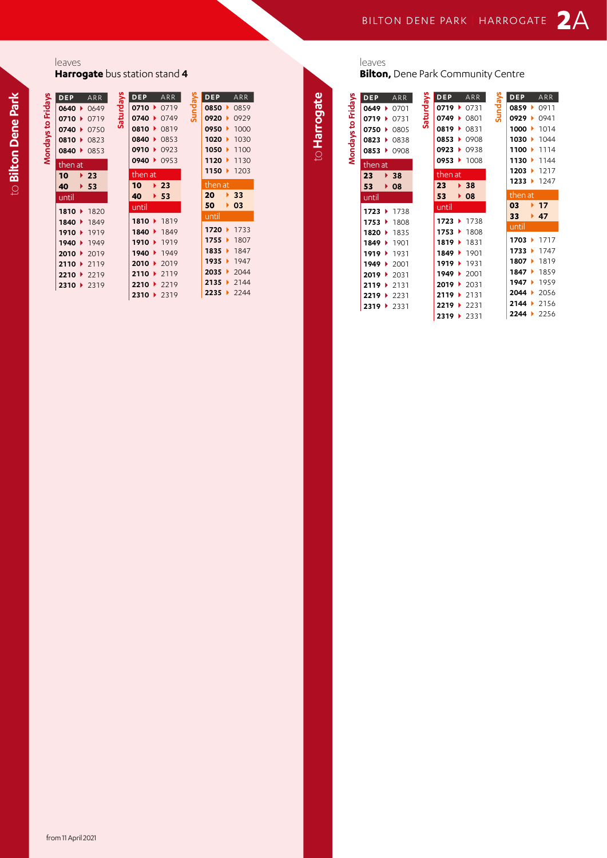## leaves

**Harrogate** bus station stand **4**

|                    | DEP     | ARR                      | Saturdays | ľ             |
|--------------------|---------|--------------------------|-----------|---------------|
|                    |         | $0640 \rightarrow 0649$  |           |               |
|                    |         | 0710 ▶ 0719              |           |               |
|                    |         | 0740 0750                |           | $\frac{1}{2}$ |
|                    |         | 0810 0823                |           |               |
| Mondays to Fridays |         | 0840 0853                |           | $\mathbf$     |
|                    | then at |                          |           | Í             |
|                    | 10      | $\blacktriangleright$ 23 |           |               |
|                    | 40      | $+ 53$                   |           | $\frac{1}{2}$ |
|                    | until   |                          |           |               |
|                    |         | 1810 ▶ 1820              |           | ļ             |
|                    |         | 1840   1849              |           |               |
|                    |         | 1910 ▶ 1919              |           |               |
|                    |         | 1940 ▶ 1949              |           |               |
|                    |         | 2010 $\rightarrow$ 2019  |           |               |
|                    |         | 2110 $\rightarrow$ 2119  |           |               |
|                    |         | $2210 \rightarrow 2219$  |           |               |
|                    |         | 2310 ▶ 2319              |           |               |

|           | DEP ARR              |             |         | <b>DEP</b>                   |    | <b>ARR</b>               |
|-----------|----------------------|-------------|---------|------------------------------|----|--------------------------|
| Saturdays |                      | 0710 ▶ 0719 | Sundays |                              |    | 0850 0859                |
|           | $0740$ $\rightarrow$ | 0749        |         | $0920$ $\blacktriangleright$ |    | 0929                     |
|           | 0810 • 0819          |             |         | $0950$ $\blacktriangleright$ |    | 1000                     |
|           | 0840 0853            |             |         |                              |    | 1020 1030                |
|           | 0910 0923            |             |         |                              |    | 1050 $\rightarrow$ 1100  |
|           | 0940 0953            |             |         |                              |    | 1120 1130                |
|           | then at              |             |         |                              |    | 1150 $\rightarrow$ 1203  |
|           | $10 \rightarrow 23$  |             |         | then at                      |    |                          |
|           |                      |             |         |                              |    |                          |
|           |                      |             |         |                              |    |                          |
|           | 40 $\rightarrow$ 53  |             |         | 20 <sub>2</sub>              |    | $\blacktriangleright$ 33 |
|           | until                |             |         | $50 \rightarrow 03$          |    |                          |
|           | 1810 1819            |             |         | until                        |    |                          |
|           | 1840 1849            |             |         |                              |    | 1720 ▶ 1733              |
|           | 1910 ▶ 1919          |             |         |                              |    | 1755 1807                |
|           |                      | 1940 1949   |         |                              |    | 1835 1847                |
|           | 2010 ▶ 2019          |             |         | 1935                         |    | 1947                     |
|           | 2110 ▶ 2119          |             |         | 2035                         | ×. | 2044                     |
|           | 2210 ▶ 2219          |             |         | $2135 +$                     |    | 2144                     |

**2310** } 2319

leaves

to **Harrogate**

to Harrogate

**Bilton,** Dene Park Community Centre

|                    | <b>DEP</b> | ARR                       |           | <b>DEP</b>           |                      | ARR                      |         | DEP                  |                      | ARR                   |
|--------------------|------------|---------------------------|-----------|----------------------|----------------------|--------------------------|---------|----------------------|----------------------|-----------------------|
|                    |            | $0649$ $\rightarrow$ 0701 |           | $0719 \div 0731$     |                      |                          | Sundays | $0859$ $\rightarrow$ |                      | 0911                  |
|                    | 0719       | 0731                      | Saturdays | 0749                 | ▶                    | 0801                     |         | 0929                 |                      | 0941                  |
|                    |            | 0750 0805                 |           | 0819                 | $\ddot{\phantom{1}}$ | 0831                     |         | 1000                 | $\ddot{\phantom{1}}$ | 1014                  |
|                    | 0823       | 0838                      |           | 0853                 | Þ.                   | 0908                     |         | 1030                 | $\ddot{\phantom{1}}$ | 1044                  |
| Mondays to Fridays |            | 0853 0908                 |           | 0923                 |                      | $\triangleright$ 0938    |         | 1100                 |                      | 1114                  |
|                    | then at    |                           |           |                      |                      | $0953 + 1008$            |         |                      |                      | 1130 1144             |
|                    | 23         | $\blacktriangleright$ 38  |           | then at              |                      |                          |         | 1203                 | $\ddot{\phantom{1}}$ | 1217                  |
|                    | 53         | $\rightarrow$ 08          |           | 23                   |                      | $\blacktriangleright$ 38 |         | 1233                 |                      | 1247                  |
|                    | until      |                           |           | 53                   |                      | $\rightarrow$ 08         |         | then at              |                      |                       |
|                    |            |                           |           | until                |                      |                          |         | 03                   |                      | ▶ 17                  |
|                    |            | 1723 1738                 |           |                      |                      |                          |         | 33                   |                      | $+47$                 |
|                    |            | 1753 1808                 |           | 1723                 |                      | ▶ 1738                   |         | until                |                      |                       |
|                    |            | 1820 1835                 |           | 1753                 | $\ddot{\phantom{1}}$ | 1808                     |         |                      |                      |                       |
|                    |            | 1849 1901                 |           | 1819 → 1831          |                      |                          |         | 1703                 |                      | $\triangleright$ 1717 |
|                    |            | 1919 $\rightarrow$ 1931   |           | $1849 +$             |                      | 1901                     |         | 1733                 | ٠                    | 1747                  |
|                    | 1949 ▶     | 2001                      |           | $1919$ $\rightarrow$ |                      | 1931                     |         | $1807 +$             |                      | 1819                  |
|                    |            | 2019 ▶ 2031               |           | 1949 2001            |                      |                          |         | 1847                 | $\ddot{\phantom{1}}$ | 1859                  |
|                    |            | 2119 ▶ 2131               |           | $2019$ $\rightarrow$ |                      | - 2031                   |         | 1947                 | $\ddot{\phantom{1}}$ | 1959                  |
|                    |            | 2219 ▶ 2231               |           | $2119$ $\rightarrow$ |                      | 2131                     |         | 2044                 | ъ.                   | 2056                  |
|                    |            | 2319 ▶ 2331               |           | 2219 ▶ 2231          |                      |                          |         | 2144                 |                      | 2156                  |
|                    |            |                           |           |                      |                      |                          |         |                      |                      |                       |